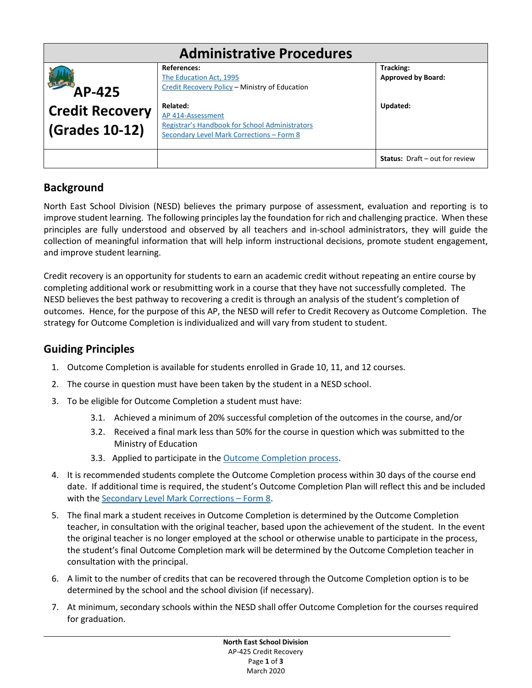| <b>Administrative Procedures</b> |                                                                                                    |                                         |
|----------------------------------|----------------------------------------------------------------------------------------------------|-----------------------------------------|
| AP-425                           | References:<br>The Education Act, 1995<br>Credit Recovery Policy - Ministry of Education           | Tracking:<br><b>Approved by Board:</b>  |
| <b>Credit Recovery</b>           | Related:<br>AP 414-Assessment                                                                      | Updated:                                |
| (Grades 10-12)                   | <b>Registrar's Handbook for School Administrators</b><br>Secondary Level Mark Corrections - Form 8 |                                         |
|                                  |                                                                                                    | <b>Status:</b> Draft $-$ out for review |

# **Background**

North East School Division (NESD) believes the primary purpose of assessment, evaluation and reporting is to improve student learning. The following principles lay the foundation for rich and challenging practice. When these principles are fully understood and observed by all teachers and in-school administrators, they will guide the collection of meaningful information that will help inform instructional decisions, promote student engagement, and improve student learning.

Credit recovery is an opportunity for students to earn an academic credit without repeating an entire course by completing additional work or resubmitting work in a course that they have not successfully completed. The NESD believes the best pathway to recovering a credit is through an analysis of the student's completion of outcomes. Hence, for the purpose of this AP, the NESD will refer to Credit Recovery as Outcome Completion. The strategy for Outcome Completion is individualized and will vary from student to student.

# **Guiding Principles**

- 1. Outcome Completion is available for students enrolled in Grade 10, 11, and 12 courses.
- 2. The course in question must have been taken by the student in a NESD school.
- 3. To be eligible for Outcome Completion a student must have:
	- 3.1. Achieved a minimum of 20% successful completion of the outcomes in the course, and/or
	- 3.2. Received a final mark less than 50% for the course in question which was submitted to the Ministry of Education
	- 3.3. Applied to participate in the [Outcome Completion process.](https://www.nesd.ca/Board/policiesprocedures/Documents/Module%204%20-%20School%20Operations/AP%20425.1-Request%20for%20Outcome%20Completion.pdf)
- 4. It is recommended students complete the Outcome Completion process within 30 days of the course end date. If additional time is required, the student's Outcome Completion Plan will reflect this and be included with the [Secondary Level Mark Corrections –](https://publications.saskatchewan.ca/#/products/73937) Form 8.
- 5. The final mark a student receives in Outcome Completion is determined by the Outcome Completion teacher, in consultation with the original teacher, based upon the achievement of the student. In the event the original teacher is no longer employed at the school or otherwise unable to participate in the process, the student's final Outcome Completion mark will be determined by the Outcome Completion teacher in consultation with the principal.
- 6. A limit to the number of credits that can be recovered through the Outcome Completion option is to be determined by the school and the school division (if necessary).
- 7. At minimum, secondary schools within the NESD shall offer Outcome Completion for the courses required for graduation.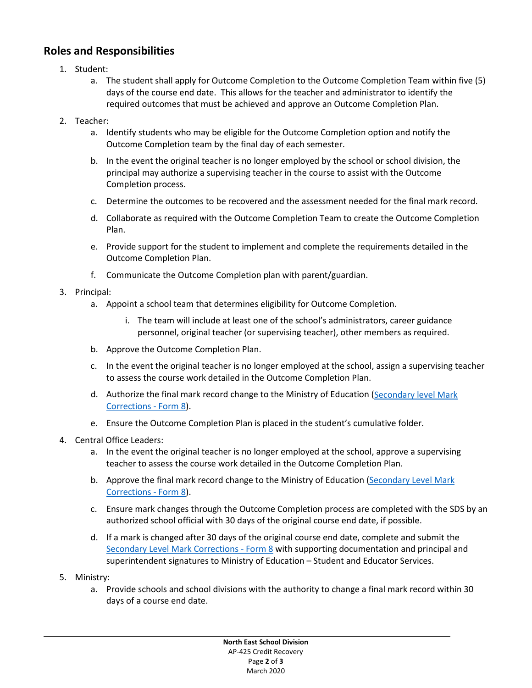## **Roles and Responsibilities**

- 1. Student:
	- a. The student shall apply for Outcome Completion to the Outcome Completion Team within five (5) days of the course end date. This allows for the teacher and administrator to identify the required outcomes that must be achieved and approve an Outcome Completion Plan.

#### 2. Teacher:

- a. Identify students who may be eligible for the Outcome Completion option and notify the Outcome Completion team by the final day of each semester.
- b. In the event the original teacher is no longer employed by the school or school division, the principal may authorize a supervising teacher in the course to assist with the Outcome Completion process.
- c. Determine the outcomes to be recovered and the assessment needed for the final mark record.
- d. Collaborate as required with the Outcome Completion Team to create the Outcome Completion Plan.
- e. Provide support for the student to implement and complete the requirements detailed in the Outcome Completion Plan.
- f. Communicate the Outcome Completion plan with parent/guardian.

#### 3. Principal:

- a. Appoint a school team that determines eligibility for Outcome Completion.
	- i. The team will include at least one of the school's administrators, career guidance personnel, original teacher (or supervising teacher), other members as required.
- b. Approve the Outcome Completion Plan.
- c. In the event the original teacher is no longer employed at the school, assign a supervising teacher to assess the course work detailed in the Outcome Completion Plan.
- d. Authorize the final mark record change to the Ministry of Education [\(Secondary level Mark](https://publications.saskatchewan.ca/#/products/73937)  [Corrections -](https://publications.saskatchewan.ca/#/products/73937) Form 8).
- e. Ensure the Outcome Completion Plan is placed in the student's cumulative folder.
- 4. Central Office Leaders:
	- a. In the event the original teacher is no longer employed at the school, approve a supervising teacher to assess the course work detailed in the Outcome Completion Plan.
	- b. Approve the final mark record change to the Ministry of Education (Secondary Level Mark [Corrections -](https://publications.saskatchewan.ca/#/products/73937) Form 8).
	- c. Ensure mark changes through the Outcome Completion process are completed with the SDS by an authorized school official with 30 days of the original course end date, if possible.
	- d. If a mark is changed after 30 days of the original course end date, complete and submit the [Secondary Level Mark Corrections -](https://publications.saskatchewan.ca/#/products/73937) Form 8 with supporting documentation and principal and superintendent signatures to Ministry of Education – Student and Educator Services.
- 5. Ministry:
	- a. Provide schools and school divisions with the authority to change a final mark record within 30 days of a course end date.